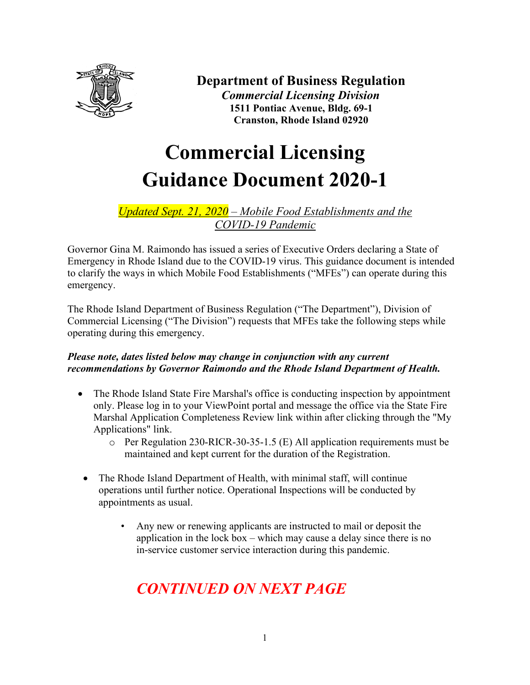

### **Department of Business Regulation**  *Commercial Licensing Division* **1511 Pontiac Avenue, Bldg. 69-1 Cranston, Rhode Island 02920**

# **Commercial Licensing Guidance Document 2020-1**

### *Updated Sept. 21, 2020 – Mobile Food Establishments and the COVID-19 Pandemic*

Governor Gina M. Raimondo has issued a series of Executive Orders declaring a State of Emergency in Rhode Island due to the COVID-19 virus. This guidance document is intended to clarify the ways in which Mobile Food Establishments ("MFEs") can operate during this emergency.

The Rhode Island Department of Business Regulation ("The Department"), Division of Commercial Licensing ("The Division") requests that MFEs take the following steps while operating during this emergency.

#### *Please note, dates listed below may change in conjunction with any current recommendations by Governor Raimondo and the Rhode Island Department of Health.*

- The Rhode Island State Fire Marshal's office is conducting inspection by appointment only. Please log in to your ViewPoint portal and message the office via the State Fire Marshal Application Completeness Review link within after clicking through the "My Applications" link.
	- o Per Regulation 230-RICR-30-35-1.5 (E) All application requirements must be maintained and kept current for the duration of the Registration.
- The Rhode Island Department of Health, with minimal staff, will continue operations until further notice. Operational Inspections will be conducted by appointments as usual.
	- Any new or renewing applicants are instructed to mail or deposit the application in the lock box – which may cause a delay since there is no in-service customer service interaction during this pandemic.

## *CONTINUED ON NEXT PAGE*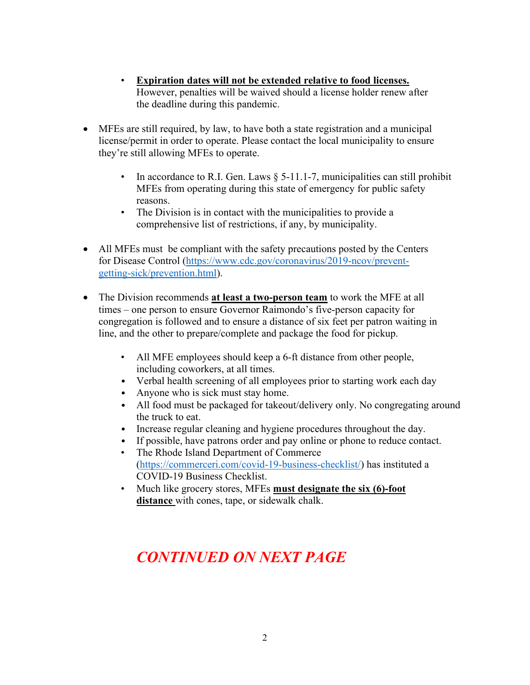- **Expiration dates will not be extended relative to food licenses.** However, penalties will be waived should a license holder renew after the deadline during this pandemic.
- MFEs are still required, by law, to have both a state registration and a municipal license/permit in order to operate. Please contact the local municipality to ensure they're still allowing MFEs to operate.
	- In accordance to R.I. Gen. Laws  $\S$  5-11.1-7, municipalities can still prohibit MFEs from operating during this state of emergency for public safety reasons.
	- The Division is in contact with the municipalities to provide a comprehensive list of restrictions, if any, by municipality.
- All MFEs must be compliant with the safety precautions posted by the Centers for Disease Control [\(https://www.cdc.gov/coronavirus/2019-ncov/prevent](https://www.cdc.gov/coronavirus/2019-ncov/prevent-getting-sick/prevention.html)[getting-sick/prevention.html\)](https://www.cdc.gov/coronavirus/2019-ncov/prevent-getting-sick/prevention.html).
- The Division recommends **at least a two-person team** to work the MFE at all times – one person to ensure Governor Raimondo's five-person capacity for congregation is followed and to ensure a distance of six feet per patron waiting in line, and the other to prepare/complete and package the food for pickup.
	- All MFE employees should keep a 6-ft distance from other people, including coworkers, at all times.
	- Verbal health screening of all employees prior to starting work each day
	- Anyone who is sick must stay home.
	- All food must be packaged for takeout/delivery only. No congregating around the truck to eat.
	- Increase regular cleaning and hygiene procedures throughout the day.
	- If possible, have patrons order and pay online or phone to reduce contact.
	- The Rhode Island Department of Commerce [\(https://commerceri.com/covid-19-business-checklist/\)](https://commerceri.com/covid-19-business-checklist/) has instituted a COVID-19 Business Checklist.
	- Much like grocery stores, MFEs **must designate the six (6)-foot distance** with cones, tape, or sidewalk chalk.

# *CONTINUED ON NEXT PAGE*